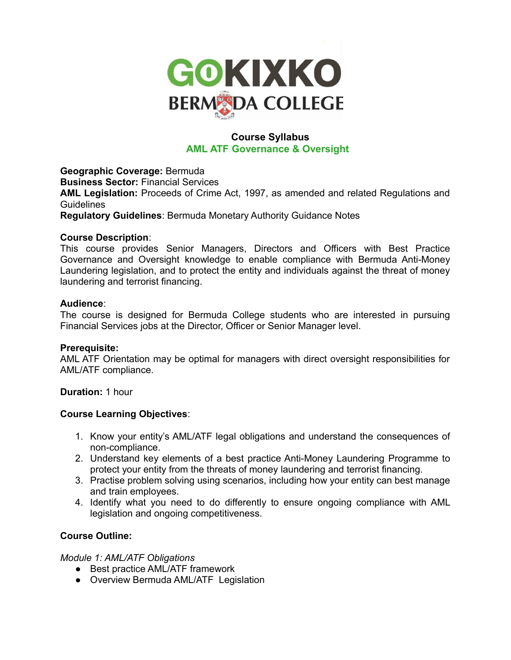

# **Course Syllabus AML ATF Governance & Oversight**

**Geographic Coverage:** Bermuda **Business Sector:** Financial Services **AML Legislation:** Proceeds of Crime Act, 1997, as amended and related Regulations and **Guidelines Regulatory Guidelines**: Bermuda Monetary Authority Guidance Notes

## **Course Description**:

This course provides Senior Managers, Directors and Officers with Best Practice Governance and Oversight knowledge to enable compliance with Bermuda Anti-Money Laundering legislation, and to protect the entity and individuals against the threat of money laundering and terrorist financing.

## **Audience**:

The course is designed for Bermuda College students who are interested in pursuing Financial Services jobs at the Director, Officer or Senior Manager level.

## **Prerequisite:**

AML ATF Orientation may be optimal for managers with direct oversight responsibilities for AML/ATF compliance.

**Duration:** 1 hour

## **Course Learning Objectives**:

- 1. Know your entity's AML/ATF legal obligations and understand the consequences of non-compliance.
- 2. Understand key elements of a best practice Anti-Money Laundering Programme to protect your entity from the threats of money laundering and terrorist financing.
- 3. Practise problem solving using scenarios, including how your entity can best manage and train employees.
- 4. Identify what you need to do differently to ensure ongoing compliance with AML legislation and ongoing competitiveness.

## **Course Outline:**

## *Module 1: AML/ATF Obligations*

- Best practice AML/ATF framework
- Overview Bermuda AML/ATF Legislation